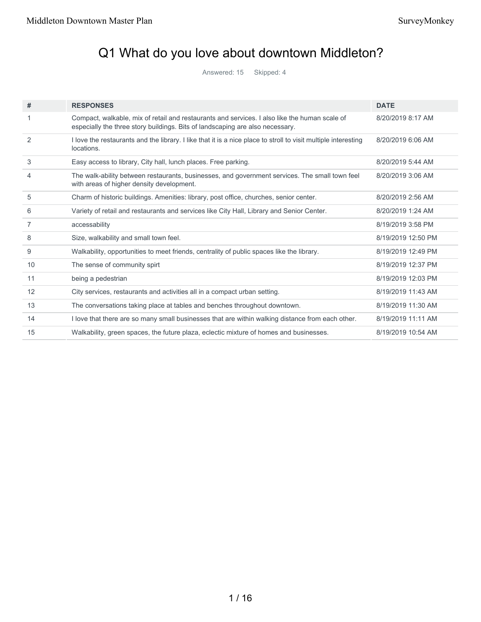# Q1 What do you love about downtown Middleton?

Answered: 15 Skipped: 4

| #  | <b>RESPONSES</b>                                                                                                                                                               | <b>DATE</b>        |
|----|--------------------------------------------------------------------------------------------------------------------------------------------------------------------------------|--------------------|
| 1  | Compact, walkable, mix of retail and restaurants and services. I also like the human scale of<br>especially the three story buildings. Bits of landscaping are also necessary. | 8/20/2019 8:17 AM  |
| 2  | I love the restaurants and the library. I like that it is a nice place to stroll to visit multiple interesting<br>locations.                                                   | 8/20/2019 6:06 AM  |
| 3  | Easy access to library, City hall, lunch places. Free parking.                                                                                                                 | 8/20/2019 5:44 AM  |
| 4  | The walk-ability between restaurants, businesses, and government services. The small town feel<br>with areas of higher density development.                                    | 8/20/2019 3:06 AM  |
| 5  | Charm of historic buildings. Amenities: library, post office, churches, senior center.                                                                                         | 8/20/2019 2:56 AM  |
| 6  | Variety of retail and restaurants and services like City Hall, Library and Senior Center.                                                                                      | 8/20/2019 1:24 AM  |
| 7  | accessability                                                                                                                                                                  | 8/19/2019 3:58 PM  |
| 8  | Size, walkability and small town feel.                                                                                                                                         | 8/19/2019 12:50 PM |
| 9  | Walkability, opportunities to meet friends, centrality of public spaces like the library.                                                                                      | 8/19/2019 12:49 PM |
| 10 | The sense of community spirt                                                                                                                                                   | 8/19/2019 12:37 PM |
| 11 | being a pedestrian                                                                                                                                                             | 8/19/2019 12:03 PM |
| 12 | City services, restaurants and activities all in a compact urban setting.                                                                                                      | 8/19/2019 11:43 AM |
| 13 | The conversations taking place at tables and benches throughout downtown.                                                                                                      | 8/19/2019 11:30 AM |
| 14 | I love that there are so many small businesses that are within walking distance from each other.                                                                               | 8/19/2019 11:11 AM |
| 15 | Walkability, green spaces, the future plaza, eclectic mixture of homes and businesses.                                                                                         | 8/19/2019 10:54 AM |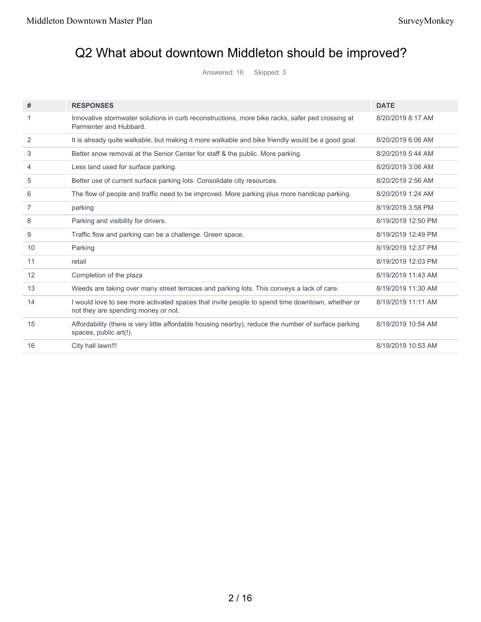# Q2 What about downtown Middleton should be improved?

Answered: 16 Skipped: 3

| #  | <b>RESPONSES</b>                                                                                                                       | <b>DATE</b>        |
|----|----------------------------------------------------------------------------------------------------------------------------------------|--------------------|
| 1  | Innovative stormwater solutions in curb reconstructions, more bike racks, safer ped crossing at<br>Parmenter and Hubbard.              | 8/20/2019 8:17 AM  |
| 2  | It is already quite walkable, but making it more walkable and bike friendly would be a good goal.                                      | 8/20/2019 6:06 AM  |
| 3  | Better snow removal at the Senior Center for staff & the public. More parking.                                                         | 8/20/2019 5:44 AM  |
| 4  | Less land used for surface parking.                                                                                                    | 8/20/2019 3:06 AM  |
| 5  | Better use of current surface parking lots. Consolidate city resources.                                                                | 8/20/2019 2:56 AM  |
| 6  | The flow of people and traffic need to be improved. More parking plus more handicap parking.                                           | 8/20/2019 1:24 AM  |
| 7  | parking                                                                                                                                | 8/19/2019 3:58 PM  |
| 8  | Parking and visibility for drivers.                                                                                                    | 8/19/2019 12:50 PM |
| 9  | Traffic flow and parking can be a challenge. Green space.                                                                              | 8/19/2019 12:49 PM |
| 10 | Parking                                                                                                                                | 8/19/2019 12:37 PM |
| 11 | retail                                                                                                                                 | 8/19/2019 12:03 PM |
| 12 | Completion of the plaza                                                                                                                | 8/19/2019 11:43 AM |
| 13 | Weeds are taking over many street terraces and parking lots. This conveys a lack of care.                                              | 8/19/2019 11:30 AM |
| 14 | I would love to see more activated spaces that invite people to spend time downtown, whether or<br>not they are spending money or not. | 8/19/2019 11:11 AM |
| 15 | Affordability (there is very little affordable housing nearby), reduce the number of surface parking<br>spaces, public art(!).         | 8/19/2019 10:54 AM |
| 16 | City hall lawn!!!                                                                                                                      | 8/19/2019 10:53 AM |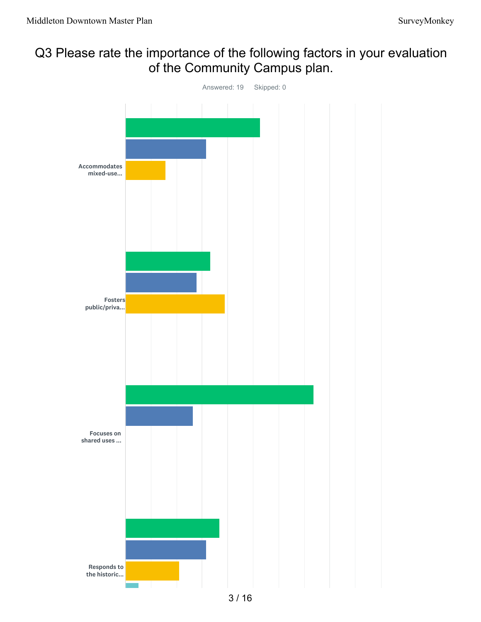# Q3 Please rate the importance of the following factors in your evaluation of the Community Campus plan.

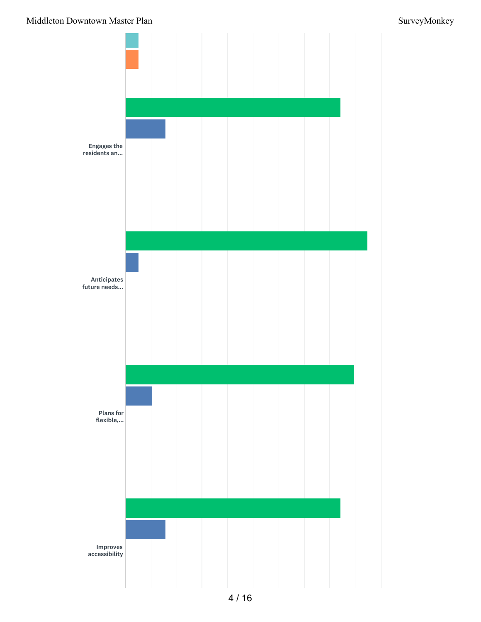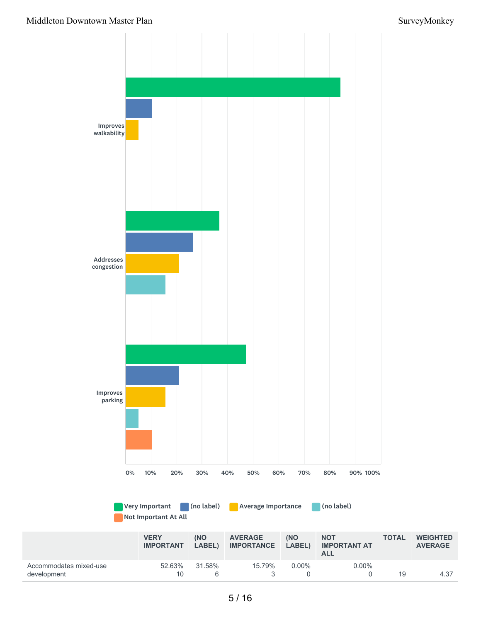**AVERAGE**

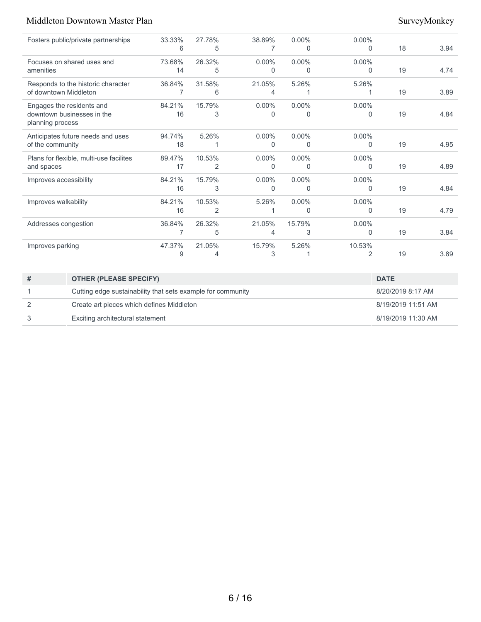| Fosters public/private partnerships                                         | 33.33%<br>6  | 27.78%<br>5              | 38.89%        | $0.00\%$<br>0 | $0.00\%$<br>$\Omega$     | 18 | 3.94 |
|-----------------------------------------------------------------------------|--------------|--------------------------|---------------|---------------|--------------------------|----|------|
| Focuses on shared uses and<br>amenities                                     | 73.68%<br>14 | 26.32%<br>5              | $0.00\%$<br>0 | $0.00\%$<br>0 | $0.00\%$<br>$\Omega$     | 19 | 4.74 |
| Responds to the historic character<br>of downtown Middleton                 | 36.84%<br>7  | 31.58%<br>6              | 21.05%<br>4   | 5.26%         | 5.26%                    | 19 | 3.89 |
| Engages the residents and<br>downtown businesses in the<br>planning process | 84.21%<br>16 | 15.79%<br>3              | $0.00\%$<br>0 | $0.00\%$<br>0 | $0.00\%$<br>$\Omega$     | 19 | 4.84 |
| Anticipates future needs and uses<br>of the community                       | 94.74%<br>18 | 5.26%                    | $0.00\%$<br>0 | $0.00\%$<br>0 | $0.00\%$<br>$\Omega$     | 19 | 4.95 |
| Plans for flexible, multi-use facilites<br>and spaces                       | 89.47%<br>17 | 10.53%<br>2              | $0.00\%$<br>0 | $0.00\%$<br>0 | $0.00\%$<br>$\Omega$     | 19 | 4.89 |
| Improves accessibility                                                      | 84.21%<br>16 | 15.79%<br>3              | $0.00\%$<br>0 | $0.00\%$<br>0 | $0.00\%$<br>$\Omega$     | 19 | 4.84 |
| Improves walkability                                                        | 84.21%<br>16 | 10.53%<br>$\overline{2}$ | 5.26%         | $0.00\%$<br>0 | $0.00\%$<br>$\Omega$     | 19 | 4.79 |
| Addresses congestion                                                        | 36.84%<br>7  | 26.32%<br>5              | 21.05%<br>4   | 15.79%<br>3   | $0.00\%$<br>$\mathbf{0}$ | 19 | 3.84 |
| Improves parking                                                            | 47.37%<br>9  | 21.05%<br>4              | 15.79%<br>3   | 5.26%         | 10.53%<br>$\overline{2}$ | 19 | 3.89 |

| <b>OTHER (PLEASE SPECIFY)</b>                               | <b>DATE</b>        |
|-------------------------------------------------------------|--------------------|
| Cutting edge sustainability that sets example for community | 8/20/2019 8:17 AM  |
| Create art pieces which defines Middleton                   | 8/19/2019 11:51 AM |
| Exciting architectural statement                            | 8/19/2019 11:30 AM |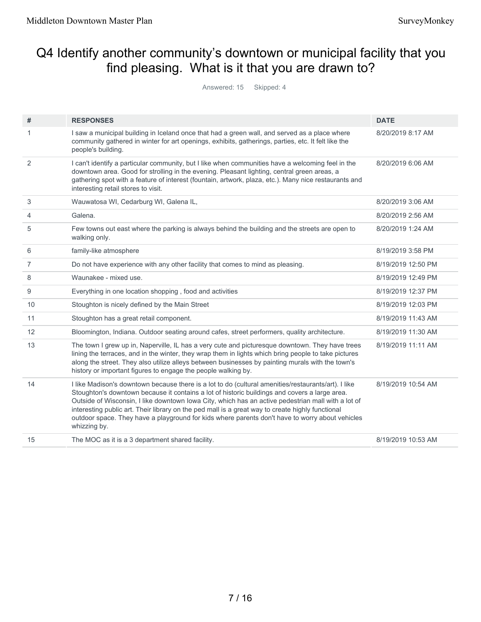# Q4 Identify another community's downtown or municipal facility that you find pleasing. What is it that you are drawn to?

Answered: 15 Skipped: 4

| #              | <b>RESPONSES</b>                                                                                                                                                                                                                                                                                                                                                                                                                                                                                                                  | <b>DATE</b>        |
|----------------|-----------------------------------------------------------------------------------------------------------------------------------------------------------------------------------------------------------------------------------------------------------------------------------------------------------------------------------------------------------------------------------------------------------------------------------------------------------------------------------------------------------------------------------|--------------------|
| 1              | I saw a municipal building in Iceland once that had a green wall, and served as a place where<br>community gathered in winter for art openings, exhibits, gatherings, parties, etc. It felt like the<br>people's building.                                                                                                                                                                                                                                                                                                        | 8/20/2019 8:17 AM  |
| 2              | I can't identify a particular community, but I like when communities have a welcoming feel in the<br>downtown area. Good for strolling in the evening. Pleasant lighting, central green areas, a<br>gathering spot with a feature of interest (fountain, artwork, plaza, etc.). Many nice restaurants and<br>interesting retail stores to visit.                                                                                                                                                                                  | 8/20/2019 6:06 AM  |
| 3              | Wauwatosa WI, Cedarburg WI, Galena IL,                                                                                                                                                                                                                                                                                                                                                                                                                                                                                            | 8/20/2019 3:06 AM  |
| 4              | Galena.                                                                                                                                                                                                                                                                                                                                                                                                                                                                                                                           | 8/20/2019 2:56 AM  |
| 5              | Few towns out east where the parking is always behind the building and the streets are open to<br>walking only.                                                                                                                                                                                                                                                                                                                                                                                                                   | 8/20/2019 1:24 AM  |
| 6              | family-like atmosphere                                                                                                                                                                                                                                                                                                                                                                                                                                                                                                            | 8/19/2019 3:58 PM  |
| $\overline{7}$ | Do not have experience with any other facility that comes to mind as pleasing.                                                                                                                                                                                                                                                                                                                                                                                                                                                    | 8/19/2019 12:50 PM |
| 8              | Waunakee - mixed use.                                                                                                                                                                                                                                                                                                                                                                                                                                                                                                             | 8/19/2019 12:49 PM |
| 9              | Everything in one location shopping, food and activities                                                                                                                                                                                                                                                                                                                                                                                                                                                                          | 8/19/2019 12:37 PM |
| 10             | Stoughton is nicely defined by the Main Street                                                                                                                                                                                                                                                                                                                                                                                                                                                                                    | 8/19/2019 12:03 PM |
| 11             | Stoughton has a great retail component.                                                                                                                                                                                                                                                                                                                                                                                                                                                                                           | 8/19/2019 11:43 AM |
| 12             | Bloomington, Indiana. Outdoor seating around cafes, street performers, quality architecture.                                                                                                                                                                                                                                                                                                                                                                                                                                      | 8/19/2019 11:30 AM |
| 13             | The town I grew up in, Naperville, IL has a very cute and picturesque downtown. They have trees<br>lining the terraces, and in the winter, they wrap them in lights which bring people to take pictures<br>along the street. They also utilize alleys between businesses by painting murals with the town's<br>history or important figures to engage the people walking by.                                                                                                                                                      | 8/19/2019 11:11 AM |
| 14             | I like Madison's downtown because there is a lot to do (cultural amenities/restaurants/art). I like<br>Stoughton's downtown because it contains a lot of historic buildings and covers a large area.<br>Outside of Wisconsin, I like downtown lowa City, which has an active pedestrian mall with a lot of<br>interesting public art. Their library on the ped mall is a great way to create highly functional<br>outdoor space. They have a playground for kids where parents don't have to worry about vehicles<br>whizzing by. | 8/19/2019 10:54 AM |
| 15             | The MOC as it is a 3 department shared facility.                                                                                                                                                                                                                                                                                                                                                                                                                                                                                  | 8/19/2019 10:53 AM |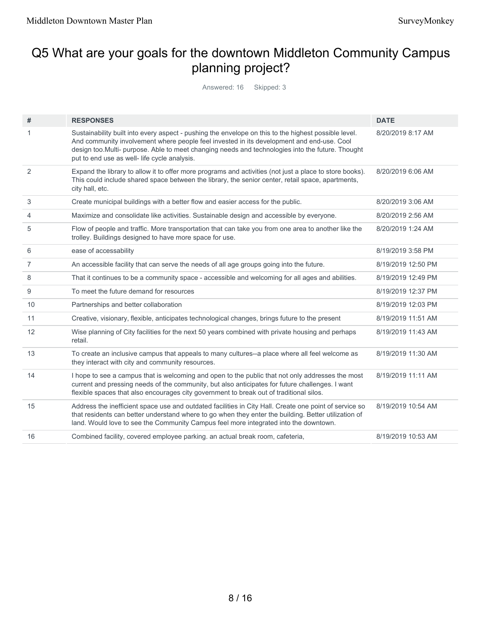# Q5 What are your goals for the downtown Middleton Community Campus planning project?

Answered: 16 Skipped: 3

| #              | <b>RESPONSES</b>                                                                                                                                                                                                                                                                                                                                      | <b>DATE</b>        |
|----------------|-------------------------------------------------------------------------------------------------------------------------------------------------------------------------------------------------------------------------------------------------------------------------------------------------------------------------------------------------------|--------------------|
| 1              | Sustainability built into every aspect - pushing the envelope on this to the highest possible level.<br>And community involvement where people feel invested in its development and end-use. Cool<br>design too.Multi- purpose. Able to meet changing needs and technologies into the future. Thought<br>put to end use as well- life cycle analysis. | 8/20/2019 8:17 AM  |
| 2              | Expand the library to allow it to offer more programs and activities (not just a place to store books).<br>This could include shared space between the library, the senior center, retail space, apartments,<br>city hall, etc.                                                                                                                       | 8/20/2019 6:06 AM  |
| 3              | Create municipal buildings with a better flow and easier access for the public.                                                                                                                                                                                                                                                                       | 8/20/2019 3:06 AM  |
| 4              | Maximize and consolidate like activities. Sustainable design and accessible by everyone.                                                                                                                                                                                                                                                              | 8/20/2019 2:56 AM  |
| 5              | Flow of people and traffic. More transportation that can take you from one area to another like the<br>trolley. Buildings designed to have more space for use.                                                                                                                                                                                        | 8/20/2019 1:24 AM  |
| 6              | ease of accessability                                                                                                                                                                                                                                                                                                                                 | 8/19/2019 3:58 PM  |
| $\overline{7}$ | An accessible facility that can serve the needs of all age groups going into the future.                                                                                                                                                                                                                                                              | 8/19/2019 12:50 PM |
| 8              | That it continues to be a community space - accessible and welcoming for all ages and abilities.                                                                                                                                                                                                                                                      | 8/19/2019 12:49 PM |
| 9              | To meet the future demand for resources                                                                                                                                                                                                                                                                                                               | 8/19/2019 12:37 PM |
| 10             | Partnerships and better collaboration                                                                                                                                                                                                                                                                                                                 | 8/19/2019 12:03 PM |
| 11             | Creative, visionary, flexible, anticipates technological changes, brings future to the present                                                                                                                                                                                                                                                        | 8/19/2019 11:51 AM |
| 12             | Wise planning of City facilities for the next 50 years combined with private housing and perhaps<br>retail.                                                                                                                                                                                                                                           | 8/19/2019 11:43 AM |
| 13             | To create an inclusive campus that appeals to many cultures--a place where all feel welcome as<br>they interact with city and community resources.                                                                                                                                                                                                    | 8/19/2019 11:30 AM |
| 14             | I hope to see a campus that is welcoming and open to the public that not only addresses the most<br>current and pressing needs of the community, but also anticipates for future challenges. I want<br>flexible spaces that also encourages city government to break out of traditional silos.                                                        | 8/19/2019 11:11 AM |
| 15             | Address the inefficient space use and outdated facilities in City Hall. Create one point of service so<br>that residents can better understand where to go when they enter the building. Better utilization of<br>land. Would love to see the Community Campus feel more integrated into the downtown.                                                | 8/19/2019 10:54 AM |
| 16             | Combined facility, covered employee parking. an actual break room, cafeteria,                                                                                                                                                                                                                                                                         | 8/19/2019 10:53 AM |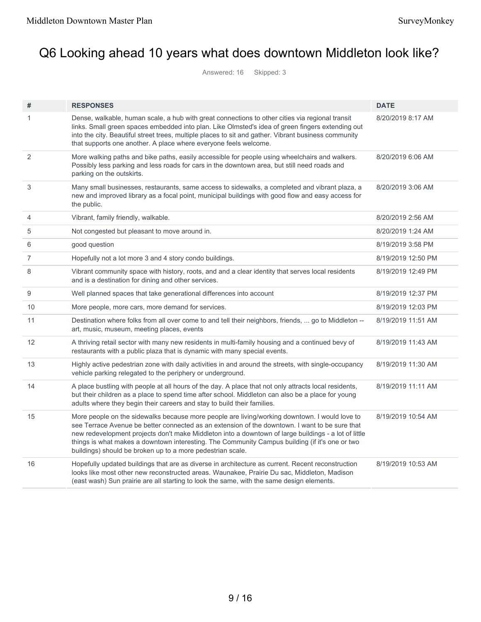# Q6 Looking ahead 10 years what does downtown Middleton look like?

Answered: 16 Skipped: 3

| #  | <b>RESPONSES</b>                                                                                                                                                                                                                                                                                                                                                                                                                                                        | <b>DATE</b>        |
|----|-------------------------------------------------------------------------------------------------------------------------------------------------------------------------------------------------------------------------------------------------------------------------------------------------------------------------------------------------------------------------------------------------------------------------------------------------------------------------|--------------------|
| 1  | Dense, walkable, human scale, a hub with great connections to other cities via regional transit<br>links. Small green spaces embedded into plan. Like Olmsted's idea of green fingers extending out<br>into the city. Beautiful street trees, multiple places to sit and gather. Vibrant business community<br>that supports one another. A place where everyone feels welcome.                                                                                         | 8/20/2019 8:17 AM  |
| 2  | More walking paths and bike paths, easily accessible for people using wheelchairs and walkers.<br>Possibly less parking and less roads for cars in the downtown area, but still need roads and<br>parking on the outskirts.                                                                                                                                                                                                                                             | 8/20/2019 6:06 AM  |
| 3  | Many small businesses, restaurants, same access to sidewalks, a completed and vibrant plaza, a<br>new and improved library as a focal point, municipal buildings with good flow and easy access for<br>the public.                                                                                                                                                                                                                                                      | 8/20/2019 3:06 AM  |
| 4  | Vibrant, family friendly, walkable.                                                                                                                                                                                                                                                                                                                                                                                                                                     | 8/20/2019 2:56 AM  |
| 5  | Not congested but pleasant to move around in.                                                                                                                                                                                                                                                                                                                                                                                                                           | 8/20/2019 1:24 AM  |
| 6  | good question                                                                                                                                                                                                                                                                                                                                                                                                                                                           | 8/19/2019 3:58 PM  |
| 7  | Hopefully not a lot more 3 and 4 story condo buildings.                                                                                                                                                                                                                                                                                                                                                                                                                 | 8/19/2019 12:50 PM |
| 8  | Vibrant community space with history, roots, and and a clear identity that serves local residents<br>and is a destination for dining and other services.                                                                                                                                                                                                                                                                                                                | 8/19/2019 12:49 PM |
| 9  | Well planned spaces that take generational differences into account                                                                                                                                                                                                                                                                                                                                                                                                     | 8/19/2019 12:37 PM |
| 10 | More people, more cars, more demand for services.                                                                                                                                                                                                                                                                                                                                                                                                                       | 8/19/2019 12:03 PM |
| 11 | Destination where folks from all over come to and tell their neighbors, friends,  go to Middleton --<br>art, music, museum, meeting places, events                                                                                                                                                                                                                                                                                                                      | 8/19/2019 11:51 AM |
| 12 | A thriving retail sector with many new residents in multi-family housing and a continued bevy of<br>restaurants with a public plaza that is dynamic with many special events.                                                                                                                                                                                                                                                                                           | 8/19/2019 11:43 AM |
| 13 | Highly active pedestrian zone with daily activities in and around the streets, with single-occupancy<br>vehicle parking relegated to the periphery or underground.                                                                                                                                                                                                                                                                                                      | 8/19/2019 11:30 AM |
| 14 | A place bustling with people at all hours of the day. A place that not only attracts local residents,<br>but their children as a place to spend time after school. Middleton can also be a place for young<br>adults where they begin their careers and stay to build their families.                                                                                                                                                                                   | 8/19/2019 11:11 AM |
| 15 | More people on the sidewalks because more people are living/working downtown. I would love to<br>see Terrace Avenue be better connected as an extension of the downtown. I want to be sure that<br>new redevelopment projects don't make Middleton into a downtown of large buildings - a lot of little<br>things is what makes a downtown interesting. The Community Campus building (if it's one or two<br>buildings) should be broken up to a more pedestrian scale. | 8/19/2019 10:54 AM |
| 16 | Hopefully updated buildings that are as diverse in architecture as current. Recent reconstruction<br>looks like most other new reconstructed areas. Waunakee, Prairie Du sac, Middleton, Madison<br>(east wash) Sun prairie are all starting to look the same, with the same design elements.                                                                                                                                                                           | 8/19/2019 10:53 AM |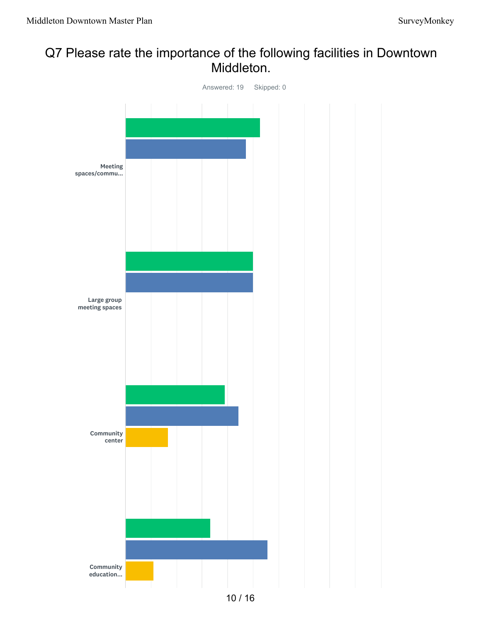## Q7 Please rate the importance of the following facilities in Downtown Middleton.

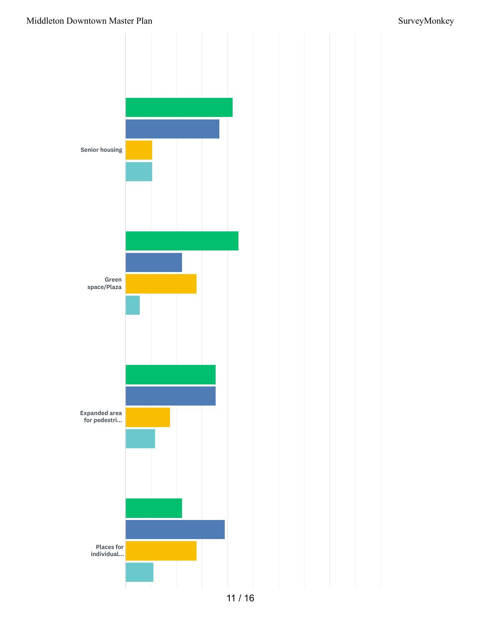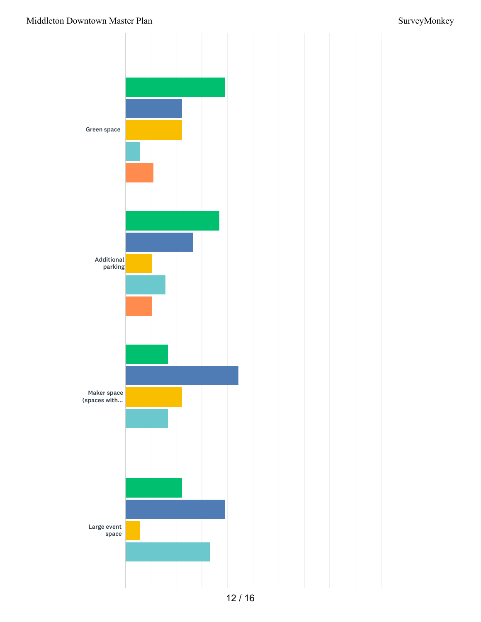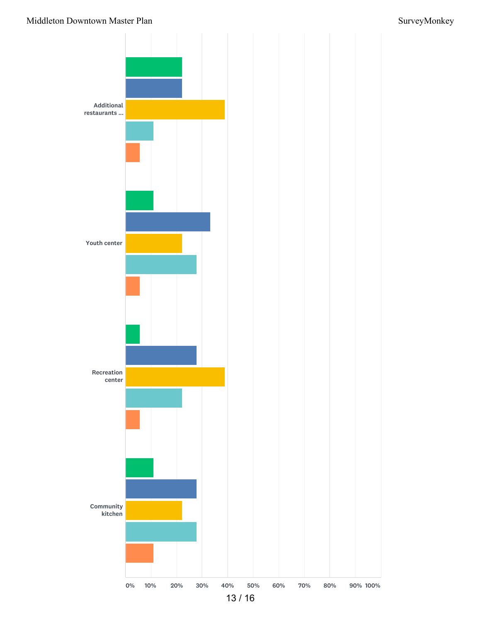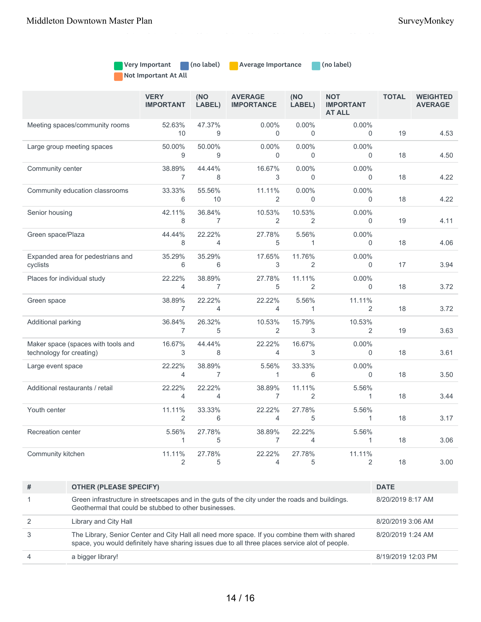| Very Important       | $\mid$ (no label) | <b>Average Importance</b> | (no label) |
|----------------------|-------------------|---------------------------|------------|
| Not Important At All |                   |                           |            |

|                                                                | <b>VERY</b><br><b>IMPORTANT</b> | (NO<br>LABEL)            | <b>AVERAGE</b><br><b>IMPORTANCE</b> | (NO<br>LABEL)            | <b>NOT</b><br><b>IMPORTANT</b><br><b>AT ALL</b> | <b>TOTAL</b> | <b>WEIGHTED</b><br><b>AVERAGE</b> |
|----------------------------------------------------------------|---------------------------------|--------------------------|-------------------------------------|--------------------------|-------------------------------------------------|--------------|-----------------------------------|
| Meeting spaces/community rooms                                 | 52.63%<br>10                    | 47.37%<br>9              | $0.00\%$<br>$\Omega$                | 0.00%<br>$\Omega$        | $0.00\%$<br>$\Omega$                            | 19           | 4.53                              |
| Large group meeting spaces                                     | 50.00%<br>9                     | 50.00%<br>9              | $0.00\%$<br>$\Omega$                | 0.00%<br>$\Omega$        | $0.00\%$<br>$\Omega$                            | 18           | 4.50                              |
| Community center                                               | 38.89%<br>$\overline{7}$        | 44.44%<br>8              | 16.67%<br>3                         | 0.00%<br>$\Omega$        | $0.00\%$<br>$\Omega$                            | 18           | 4.22                              |
| Community education classrooms                                 | 33.33%<br>6                     | 55.56%<br>10             | 11.11%<br>2                         | $0.00\%$<br>$\Omega$     | $0.00\%$<br>$\mathbf 0$                         | 18           | 4.22                              |
| Senior housing                                                 | 42.11%<br>8                     | 36.84%<br>$\overline{7}$ | 10.53%<br>2                         | 10.53%<br>$\overline{2}$ | $0.00\%$<br>$\Omega$                            | 19           | 4.11                              |
| Green space/Plaza                                              | 44.44%<br>8                     | 22.22%<br>$\overline{4}$ | 27.78%<br>5                         | 5.56%<br>$\mathbf{1}$    | 0.00%<br>$\mathbf 0$                            | 18           | 4.06                              |
| Expanded area for pedestrians and<br>cyclists                  | 35.29%<br>6                     | 35.29%<br>6              | 17.65%<br>3                         | 11.76%<br>$\overline{2}$ | $0.00\%$<br>0                                   | 17           | 3.94                              |
| Places for individual study                                    | 22.22%<br>4                     | 38.89%<br>$\overline{7}$ | 27.78%<br>5                         | 11.11%<br>2              | 0.00%<br>$\Omega$                               | 18           | 3.72                              |
| Green space                                                    | 38.89%<br>$\overline{7}$        | 22.22%<br>$\overline{4}$ | 22.22%<br>$\overline{4}$            | 5.56%<br>$\mathbf{1}$    | 11.11%<br>2                                     | 18           | 3.72                              |
| Additional parking                                             | 36.84%<br>$\overline{7}$        | 26.32%<br>5              | 10.53%<br>2                         | 15.79%<br>3              | 10.53%<br>$\overline{2}$                        | 19           | 3.63                              |
| Maker space (spaces with tools and<br>technology for creating) | 16.67%<br>3                     | 44.44%<br>8              | 22.22%<br>4                         | 16.67%<br>3              | $0.00\%$<br>$\Omega$                            | 18           | 3.61                              |
| Large event space                                              | 22.22%<br>$\overline{4}$        | 38.89%<br>$\overline{7}$ | 5.56%<br>$\mathbf{1}$               | 33.33%<br>6              | 0.00%<br>$\Omega$                               | 18           | 3.50                              |
| Additional restaurants / retail                                | 22.22%<br>$\overline{4}$        | 22.22%<br>$\overline{4}$ | 38.89%<br>$\overline{7}$            | 11.11%<br>$\overline{2}$ | 5.56%<br>$\mathbf{1}$                           | 18           | 3.44                              |
| Youth center                                                   | 11.11%<br>2                     | 33.33%<br>6              | 22.22%<br>$\overline{4}$            | 27.78%<br>5              | 5.56%<br>1                                      | 18           | 3.17                              |
| Recreation center                                              | 5.56%<br>1                      | 27.78%<br>5              | 38.89%<br>7                         | 22.22%<br>4              | 5.56%<br>1                                      | 18           | 3.06                              |
| Community kitchen                                              | 11.11%<br>2                     | 27.78%<br>5              | 22.22%<br>4                         | 27.78%<br>5              | 11.11%<br>$\overline{2}$                        | 18           | 3.00                              |

0% 10% 20% 30% 40% 50% 60% 70% 80% 90% 100%

| #              | <b>OTHER (PLEASE SPECIFY)</b>                                                                                                                                                                    | <b>DATE</b>        |
|----------------|--------------------------------------------------------------------------------------------------------------------------------------------------------------------------------------------------|--------------------|
|                | Green infrastructure in streetscapes and in the guts of the city under the roads and buildings.<br>Geothermal that could be stubbed to other businesses.                                         | 8/20/2019 8:17 AM  |
| $\mathcal{P}$  | Library and City Hall                                                                                                                                                                            | 8/20/2019 3:06 AM  |
| 3              | The Library, Senior Center and City Hall all need more space. If you combine them with shared<br>space, you would definitely have sharing issues due to all three places service alot of people. | 8/20/2019 1:24 AM  |
| $\overline{4}$ | a bigger library!                                                                                                                                                                                | 8/19/2019 12:03 PM |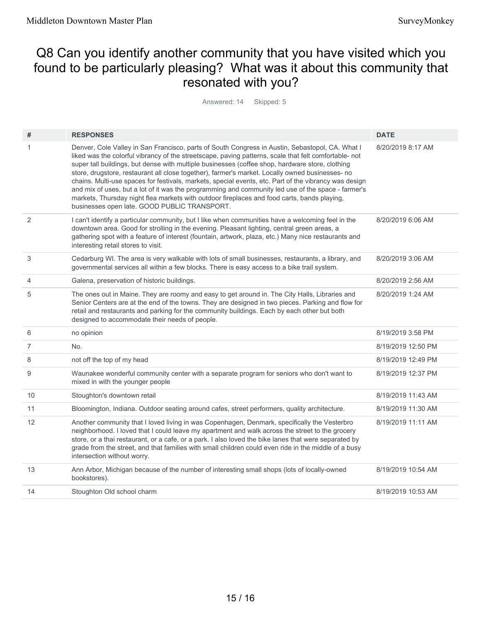## Q8 Can you identify another community that you have visited which you found to be particularly pleasing? What was it about this community that resonated with you?

Answered: 14 Skipped: 5

| #              | <b>RESPONSES</b>                                                                                                                                                                                                                                                                                                                                                                                                                                                                                                                                                                                                                                                                                                                                                             | <b>DATE</b>        |
|----------------|------------------------------------------------------------------------------------------------------------------------------------------------------------------------------------------------------------------------------------------------------------------------------------------------------------------------------------------------------------------------------------------------------------------------------------------------------------------------------------------------------------------------------------------------------------------------------------------------------------------------------------------------------------------------------------------------------------------------------------------------------------------------------|--------------------|
| 1              | Denver, Cole Valley in San Francisco, parts of South Congress in Austin, Sebastopol, CA. What I<br>liked was the colorful vibrancy of the streetscape, paving patterns, scale that felt comfortable- not<br>super tall buildings, but dense with multiple businesses (coffee shop, hardware store, clothing<br>store, drugstore, restaurant all close together), farmer's market. Locally owned businesses- no<br>chains. Multi-use spaces for festivals, markets, special events, etc. Part of the vibrancy was design<br>and mix of uses, but a lot of it was the programming and community led use of the space - farmer's<br>markets, Thursday night flea markets with outdoor fireplaces and food carts, bands playing,<br>businesses open late. GOOD PUBLIC TRANSPORT. | 8/20/2019 8:17 AM  |
| 2              | I can't identify a particular community, but I like when communities have a welcoming feel in the<br>downtown area. Good for strolling in the evening. Pleasant lighting, central green areas, a<br>gathering spot with a feature of interest (fountain, artwork, plaza, etc.) Many nice restaurants and<br>interesting retail stores to visit.                                                                                                                                                                                                                                                                                                                                                                                                                              | 8/20/2019 6:06 AM  |
| 3              | Cedarburg WI. The area is very walkable with lots of small businesses, restaurants, a library, and<br>governmental services all within a few blocks. There is easy access to a bike trail system.                                                                                                                                                                                                                                                                                                                                                                                                                                                                                                                                                                            | 8/20/2019 3:06 AM  |
| 4              | Galena, preservation of historic buildings.                                                                                                                                                                                                                                                                                                                                                                                                                                                                                                                                                                                                                                                                                                                                  | 8/20/2019 2:56 AM  |
| 5              | The ones out in Maine. They are roomy and easy to get around in. The City Halls, Libraries and<br>Senior Centers are at the end of the towns. They are designed in two pieces. Parking and flow for<br>retail and restaurants and parking for the community buildings. Each by each other but both<br>designed to accommodate their needs of people.                                                                                                                                                                                                                                                                                                                                                                                                                         | 8/20/2019 1:24 AM  |
| 6              | no opinion                                                                                                                                                                                                                                                                                                                                                                                                                                                                                                                                                                                                                                                                                                                                                                   | 8/19/2019 3:58 PM  |
| $\overline{7}$ | No.                                                                                                                                                                                                                                                                                                                                                                                                                                                                                                                                                                                                                                                                                                                                                                          | 8/19/2019 12:50 PM |
| 8              | not off the top of my head                                                                                                                                                                                                                                                                                                                                                                                                                                                                                                                                                                                                                                                                                                                                                   | 8/19/2019 12:49 PM |
| 9              | Waunakee wonderful community center with a separate program for seniors who don't want to<br>mixed in with the younger people                                                                                                                                                                                                                                                                                                                                                                                                                                                                                                                                                                                                                                                | 8/19/2019 12:37 PM |
| 10             | Stoughton's downtown retail                                                                                                                                                                                                                                                                                                                                                                                                                                                                                                                                                                                                                                                                                                                                                  | 8/19/2019 11:43 AM |
| 11             | Bloomington, Indiana. Outdoor seating around cafes, street performers, quality architecture.                                                                                                                                                                                                                                                                                                                                                                                                                                                                                                                                                                                                                                                                                 | 8/19/2019 11:30 AM |
| 12             | Another community that I loved living in was Copenhagen, Denmark, specifically the Vesterbro<br>neighborhood. I loved that I could leave my apartment and walk across the street to the grocery<br>store, or a thai restaurant, or a cafe, or a park. I also loved the bike lanes that were separated by<br>grade from the street, and that families with small children could even ride in the middle of a busy<br>intersection without worry.                                                                                                                                                                                                                                                                                                                              | 8/19/2019 11:11 AM |
| 13             | Ann Arbor, Michigan because of the number of interesting small shops (lots of locally-owned<br>bookstores).                                                                                                                                                                                                                                                                                                                                                                                                                                                                                                                                                                                                                                                                  | 8/19/2019 10:54 AM |
| 14             | Stoughton Old school charm                                                                                                                                                                                                                                                                                                                                                                                                                                                                                                                                                                                                                                                                                                                                                   | 8/19/2019 10:53 AM |
|                |                                                                                                                                                                                                                                                                                                                                                                                                                                                                                                                                                                                                                                                                                                                                                                              |                    |